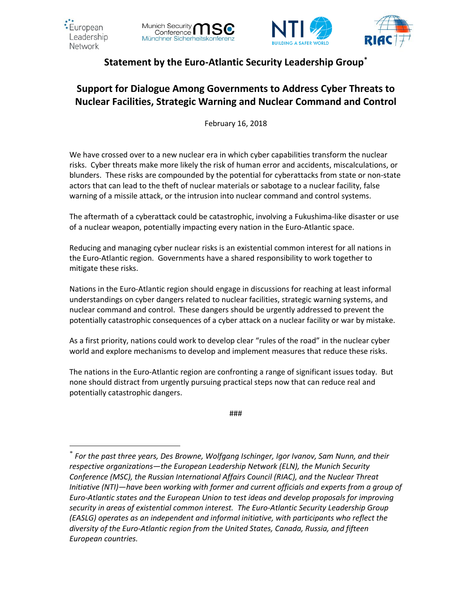

 $\overline{a}$ 







## **Statement by the Euro-Atlantic Security Leadership Group\***

# **Support for Dialogue Among Governments to Address Cyber Threats to Nuclear Facilities, Strategic Warning and Nuclear Command and Control**

February 16, 2018

We have crossed over to a new nuclear era in which cyber capabilities transform the nuclear risks. Cyber threats make more likely the risk of human error and accidents, miscalculations, or blunders. These risks are compounded by the potential for cyberattacks from state or non-state actors that can lead to the theft of nuclear materials or sabotage to a nuclear facility, false warning of a missile attack, or the intrusion into nuclear command and control systems.

The aftermath of a cyberattack could be catastrophic, involving a Fukushima-like disaster or use of a nuclear weapon, potentially impacting every nation in the Euro-Atlantic space.

Reducing and managing cyber nuclear risks is an existential common interest for all nations in the Euro-Atlantic region. Governments have a shared responsibility to work together to mitigate these risks.

Nations in the Euro-Atlantic region should engage in discussions for reaching at least informal understandings on cyber dangers related to nuclear facilities, strategic warning systems, and nuclear command and control. These dangers should be urgently addressed to prevent the potentially catastrophic consequences of a cyber attack on a nuclear facility or war by mistake.

As a first priority, nations could work to develop clear "rules of the road" in the nuclear cyber world and explore mechanisms to develop and implement measures that reduce these risks.

The nations in the Euro-Atlantic region are confronting a range of significant issues today. But none should distract from urgently pursuing practical steps now that can reduce real and potentially catastrophic dangers.

###

*<sup>\*</sup> For the past three years, Des Browne, Wolfgang Ischinger, Igor Ivanov, Sam Nunn, and their respective organizations—the European Leadership Network (ELN), the Munich Security Conference (MSC), the Russian International Affairs Council (RIAC), and the Nuclear Threat Initiative (NTI)—have been working with former and current officials and experts from a group of Euro-Atlantic states and the European Union to test ideas and develop proposals for improving security in areas of existential common interest. The Euro-Atlantic Security Leadership Group (EASLG) operates as an independent and informal initiative, with participants who reflect the diversity of the Euro-Atlantic region from the United States, Canada, Russia, and fifteen European countries.*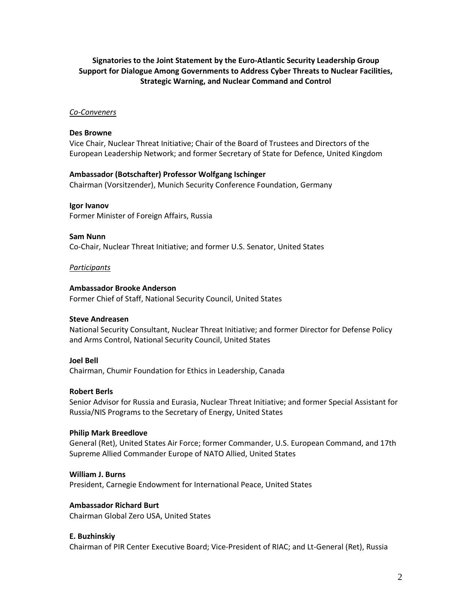## **Signatories to the Joint Statement by the Euro-Atlantic Security Leadership Group Support for Dialogue Among Governments to Address Cyber Threats to Nuclear Facilities, Strategic Warning, and Nuclear Command and Control**

#### *Co-Conveners*

#### **Des Browne**

Vice Chair, Nuclear Threat Initiative; Chair of the Board of Trustees and Directors of the European Leadership Network; and former Secretary of State for Defence, United Kingdom

#### **Ambassador (Botschafter) Professor Wolfgang Ischinger**

Chairman (Vorsitzender), Munich Security Conference Foundation, Germany

#### **Igor Ivanov**

Former Minister of Foreign Affairs, Russia

#### **Sam Nunn**

Co-Chair, Nuclear Threat Initiative; and former U.S. Senator, United States

#### *Participants*

#### **Ambassador Brooke Anderson**

Former Chief of Staff, National Security Council, United States

## **Steve Andreasen**

National Security Consultant, Nuclear Threat Initiative; and former Director for Defense Policy and Arms Control, National Security Council, United States

#### **Joel Bell**

Chairman, Chumir Foundation for Ethics in Leadership, Canada

## **Robert Berls**

Senior Advisor for Russia and Eurasia, Nuclear Threat Initiative; and former Special Assistant for Russia/NIS Programs to the Secretary of Energy, United States

## **Philip Mark Breedlove**

General (Ret), United States Air Force; former Commander, U.S. European Command, and 17th Supreme Allied Commander Europe of NATO Allied, United States

#### **William J. Burns**

President, Carnegie Endowment for International Peace, United States

#### **Ambassador Richard Burt**

Chairman Global Zero USA, United States

## **E. Buzhinskiy**

Chairman of PIR Center Executive Board; Vice-President of RIAC; and Lt-General (Ret), Russia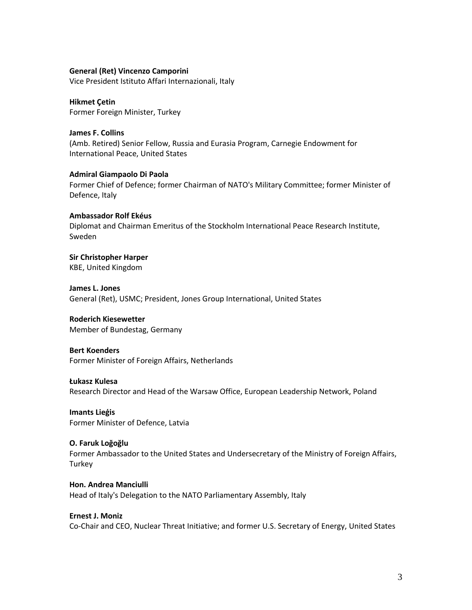#### **General (Ret) Vincenzo Camporini**

Vice President Istituto Affari Internazionali, Italy

**Hikmet Çetin** Former Foreign Minister, Turkey

**James F. Collins** (Amb. Retired) Senior Fellow, Russia and Eurasia Program, Carnegie Endowment for International Peace, United States

**Admiral Giampaolo Di Paola** Former Chief of Defence; former Chairman of NATO's Military Committee; former Minister of Defence, Italy

**Ambassador Rolf Ekéus** Diplomat and Chairman Emeritus of the Stockholm International Peace Research Institute, Sweden

**Sir Christopher Harper** KBE, United Kingdom

**James L. Jones** General (Ret), USMC; President, Jones Group International, United States

**Roderich Kiesewetter** Member of Bundestag, Germany

**Bert Koenders** Former Minister of Foreign Affairs, Netherlands

**Łukasz Kulesa**

Research Director and Head of the Warsaw Office, European Leadership Network, Poland

**Imants Lieģis** Former Minister of Defence, Latvia

**O. Faruk Loğoğlu**

Former Ambassador to the United States and Undersecretary of the Ministry of Foreign Affairs, **Turkey** 

**Hon. Andrea Manciulli** Head of Italy's Delegation to the NATO Parliamentary Assembly, Italy

#### **Ernest J. Moniz**

Co-Chair and CEO, Nuclear Threat Initiative; and former U.S. Secretary of Energy, United States